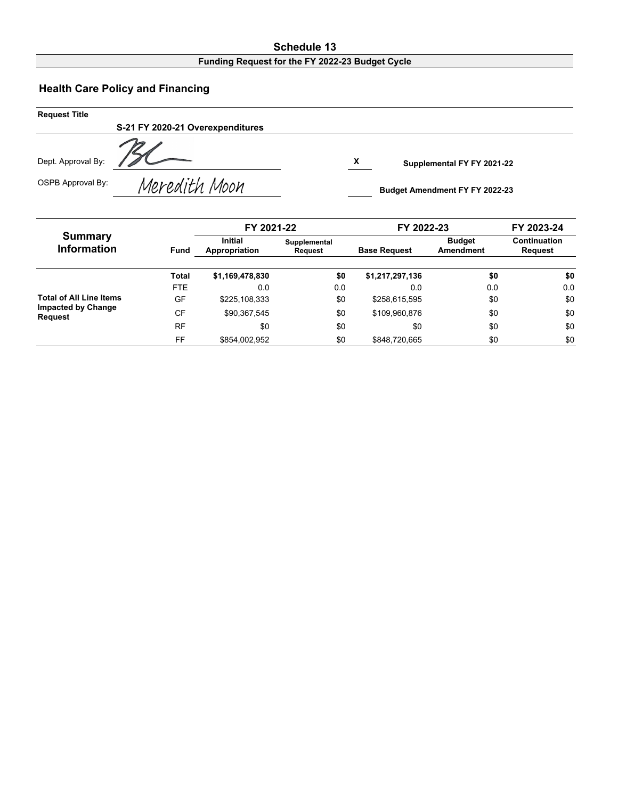#### **Schedule 13 Funding Request for the FY 2022-23 Budget Cycle**

# **Health Care Policy and Financing**

| <b>Request Title</b> |                                  |   |                                       |  |
|----------------------|----------------------------------|---|---------------------------------------|--|
|                      | S-21 FY 2020-21 Overexpenditures |   |                                       |  |
| Dept. Approval By:   |                                  | X | Supplemental FY FY 2021-22            |  |
| OSPB Approval By:    | Meredith Moon                    |   | <b>Budget Amendment FY FY 2022-23</b> |  |

|                                             |              | FY 2021-22                                                        |     | FY 2022-23          | FY 2023-24                 |                         |  |
|---------------------------------------------|--------------|-------------------------------------------------------------------|-----|---------------------|----------------------------|-------------------------|--|
| <b>Summary</b><br><b>Information</b>        | <b>Fund</b>  | <b>Initial</b><br>Supplemental<br>Appropriation<br><b>Request</b> |     | <b>Base Request</b> | <b>Budget</b><br>Amendment | Continuation<br>Request |  |
|                                             | <b>Total</b> | \$1,169,478,830                                                   | \$0 | \$1,217,297,136     | \$0                        | \$0                     |  |
|                                             | FTE.         | 0.0                                                               | 0.0 | 0.0                 | 0.0                        | 0.0                     |  |
| <b>Total of All Line Items</b>              | GF           | \$225.108.333                                                     | \$0 | \$258,615,595       | \$0                        | \$0                     |  |
| <b>Impacted by Change</b><br><b>Request</b> | CF           | \$90.367.545                                                      | \$0 | \$109,960,876       | \$0                        | \$0                     |  |
|                                             | <b>RF</b>    | \$0                                                               | \$0 | \$0                 | \$0                        | \$0                     |  |
|                                             | FF           | \$854,002,952                                                     | \$0 | \$848,720,665       | \$0                        | \$0                     |  |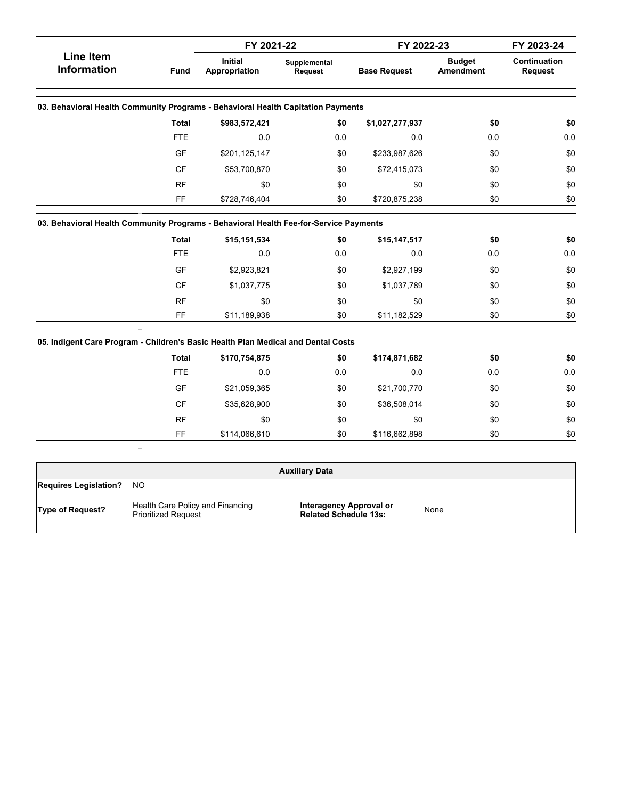|                                                                                       |              | FY 2021-22                      |                         | FY 2022-23          | FY 2023-24                 |                                |
|---------------------------------------------------------------------------------------|--------------|---------------------------------|-------------------------|---------------------|----------------------------|--------------------------------|
| <b>Line Item</b><br><b>Information</b><br><b>Fund</b>                                 |              | <b>Initial</b><br>Appropriation | Supplemental<br>Request | <b>Base Request</b> | <b>Budget</b><br>Amendment | Continuation<br><b>Request</b> |
| 03. Behavioral Health Community Programs - Behavioral Health Capitation Payments      |              |                                 |                         |                     |                            |                                |
|                                                                                       | <b>Total</b> | \$983,572,421                   | \$0                     | \$1,027,277,937     | \$0                        | \$0                            |
|                                                                                       | <b>FTE</b>   | 0.0                             | 0.0                     | 0.0                 | 0.0                        | $0.0\,$                        |
|                                                                                       | GF           | \$201,125,147                   | \$0                     | \$233,987,626       | \$0                        | \$0                            |
|                                                                                       | <b>CF</b>    | \$53,700,870                    | \$0                     | \$72,415,073        | \$0                        | \$0                            |
|                                                                                       | <b>RF</b>    | \$0                             | \$0                     | \$0                 | \$0                        | \$0                            |
|                                                                                       | FF           | \$728,746,404                   | \$0                     | \$720,875,238       | \$0                        | \$0                            |
| 03. Behavioral Health Community Programs - Behavioral Health Fee-for-Service Payments |              |                                 |                         |                     |                            |                                |
|                                                                                       | <b>Total</b> | \$15,151,534                    | \$0                     | \$15,147,517        | \$0                        | \$0                            |
|                                                                                       | <b>FTE</b>   | 0.0                             | 0.0                     | 0.0                 | 0.0                        | 0.0                            |
|                                                                                       | GF           | \$2,923,821                     | \$0                     | \$2,927,199         | \$0                        | \$0                            |
|                                                                                       | CF           | \$1,037,775                     | \$0                     | \$1,037,789         | \$0                        | \$0                            |
|                                                                                       | <b>RF</b>    | \$0                             | \$0                     | \$0                 | \$0                        | \$0                            |
|                                                                                       | FF           | \$11,189,938                    | \$0                     | \$11,182,529        | \$0                        | \$0                            |
| 05. Indigent Care Program - Children's Basic Health Plan Medical and Dental Costs     |              |                                 |                         |                     |                            |                                |
|                                                                                       | <b>Total</b> | \$170,754,875                   | \$0                     | \$174,871,682       | \$0                        | \$0                            |
|                                                                                       | <b>FTE</b>   | 0.0                             | 0.0                     | 0.0                 | 0.0                        | $0.0\,$                        |
|                                                                                       | GF           | \$21,059,365                    | \$0                     | \$21,700,770        | \$0                        | \$0                            |
|                                                                                       | <b>CF</b>    | \$35,628,900                    | \$0                     | \$36,508,014        | \$0                        | \$0                            |
|                                                                                       | <b>RF</b>    | \$0                             | \$0                     | \$0                 | \$0                        | \$0                            |
|                                                                                       | FF           | \$114,066,610                   | \$0                     | \$116,662,898       | \$0                        | \$0                            |

|                              |                                                                | <b>Auxiliary Data</b>                                   |      |  |
|------------------------------|----------------------------------------------------------------|---------------------------------------------------------|------|--|
| <b>Requires Legislation?</b> | NO.                                                            |                                                         |      |  |
| Type of Request?             | Health Care Policy and Financing<br><b>Prioritized Request</b> | Interagency Approval or<br><b>Related Schedule 13s:</b> | None |  |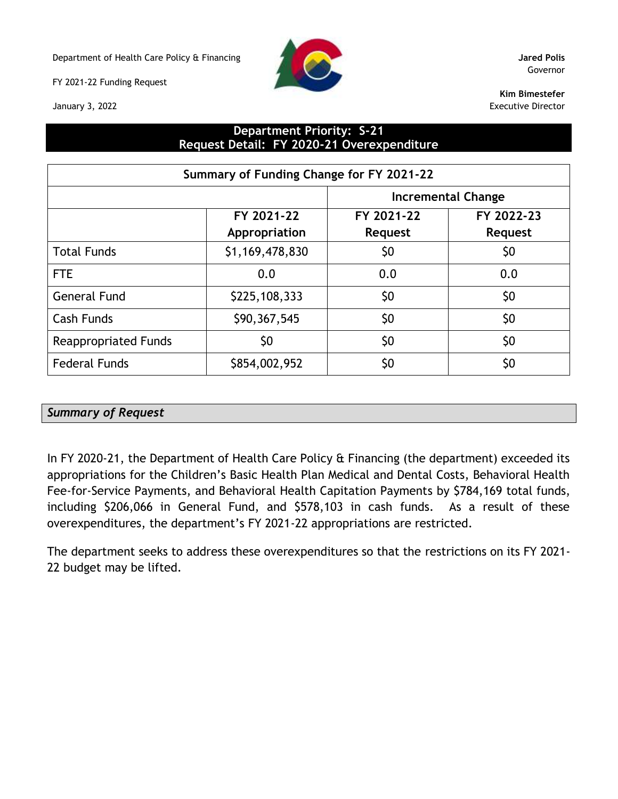Department of Health Care Policy & Financing **Jared Polis**

FY 2021-22 Funding Request

January 3, 2022



Governor

**Kim Bimestefer** Executive Director

## **Department Priority: S-21 Request Detail: FY 2020-21 Overexpenditure**

| Summary of Funding Change for FY 2021-22 |                             |                       |                              |  |  |  |  |  |
|------------------------------------------|-----------------------------|-----------------------|------------------------------|--|--|--|--|--|
| <b>Incremental Change</b>                |                             |                       |                              |  |  |  |  |  |
|                                          | FY 2021-22<br>Appropriation | FY 2021-22<br>Request | FY 2022-23<br><b>Request</b> |  |  |  |  |  |
| <b>Total Funds</b>                       | \$1,169,478,830             | \$0                   | \$0                          |  |  |  |  |  |
| <b>FTE</b>                               | 0.0                         | 0.0                   | 0.0                          |  |  |  |  |  |
| <b>General Fund</b>                      | \$225,108,333               | \$0                   | \$0                          |  |  |  |  |  |
| Cash Funds                               | \$90,367,545                | \$0                   | \$0                          |  |  |  |  |  |
| <b>Reappropriated Funds</b>              | \$0                         | \$0                   | \$0                          |  |  |  |  |  |
| <b>Federal Funds</b>                     | \$854,002,952               | \$0                   | \$0                          |  |  |  |  |  |

## *Summary of Request*

In FY 2020-21, the Department of Health Care Policy & Financing (the department) exceeded its appropriations for the Children's Basic Health Plan Medical and Dental Costs, Behavioral Health Fee-for-Service Payments, and Behavioral Health Capitation Payments by \$784,169 total funds, including \$206,066 in General Fund, and \$578,103 in cash funds. As a result of these overexpenditures, the department's FY 2021-22 appropriations are restricted.

The department seeks to address these overexpenditures so that the restrictions on its FY 2021- 22 budget may be lifted.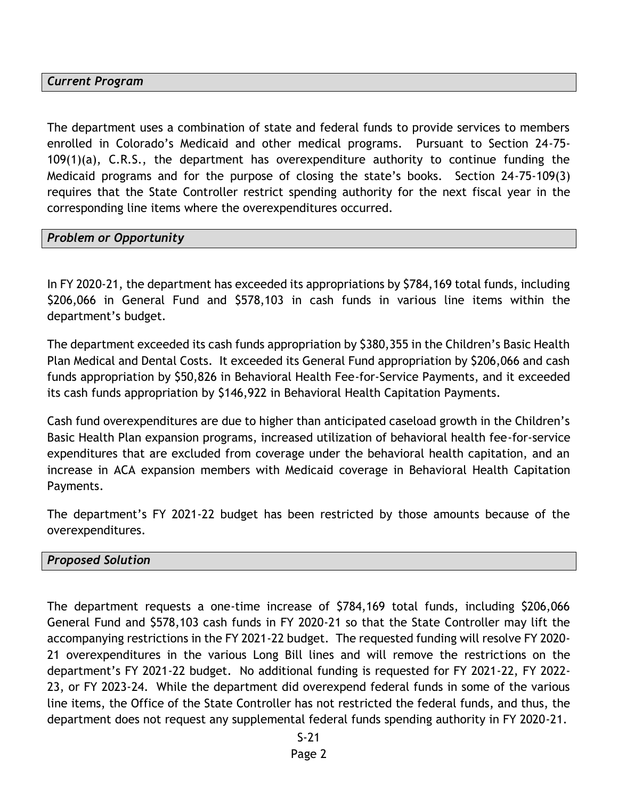## *Current Program*

The department uses a combination of state and federal funds to provide services to members enrolled in Colorado's Medicaid and other medical programs. Pursuant to Section 24-75- 109(1)(a), C.R.S., the department has overexpenditure authority to continue funding the Medicaid programs and for the purpose of closing the state's books. Section 24-75-109(3) requires that the State Controller restrict spending authority for the next fiscal year in the corresponding line items where the overexpenditures occurred.

## *Problem or Opportunity*

In FY 2020-21, the department has exceeded its appropriations by \$784,169 total funds, including \$206,066 in General Fund and \$578,103 in cash funds in various line items within the department's budget.

The department exceeded its cash funds appropriation by \$380,355 in the Children's Basic Health Plan Medical and Dental Costs. It exceeded its General Fund appropriation by \$206,066 and cash funds appropriation by \$50,826 in Behavioral Health Fee-for-Service Payments, and it exceeded its cash funds appropriation by \$146,922 in Behavioral Health Capitation Payments.

Cash fund overexpenditures are due to higher than anticipated caseload growth in the Children's Basic Health Plan expansion programs, increased utilization of behavioral health fee-for-service expenditures that are excluded from coverage under the behavioral health capitation, and an increase in ACA expansion members with Medicaid coverage in Behavioral Health Capitation Payments.

The department's FY 2021-22 budget has been restricted by those amounts because of the overexpenditures.

#### *Proposed Solution*

The department requests a one-time increase of \$784,169 total funds, including \$206,066 General Fund and \$578,103 cash funds in FY 2020-21 so that the State Controller may lift the accompanying restrictions in the FY 2021-22 budget. The requested funding will resolve FY 2020- 21 overexpenditures in the various Long Bill lines and will remove the restrictions on the department's FY 2021-22 budget. No additional funding is requested for FY 2021-22, FY 2022- 23, or FY 2023-24. While the department did overexpend federal funds in some of the various line items, the Office of the State Controller has not restricted the federal funds, and thus, the department does not request any supplemental federal funds spending authority in FY 2020-21.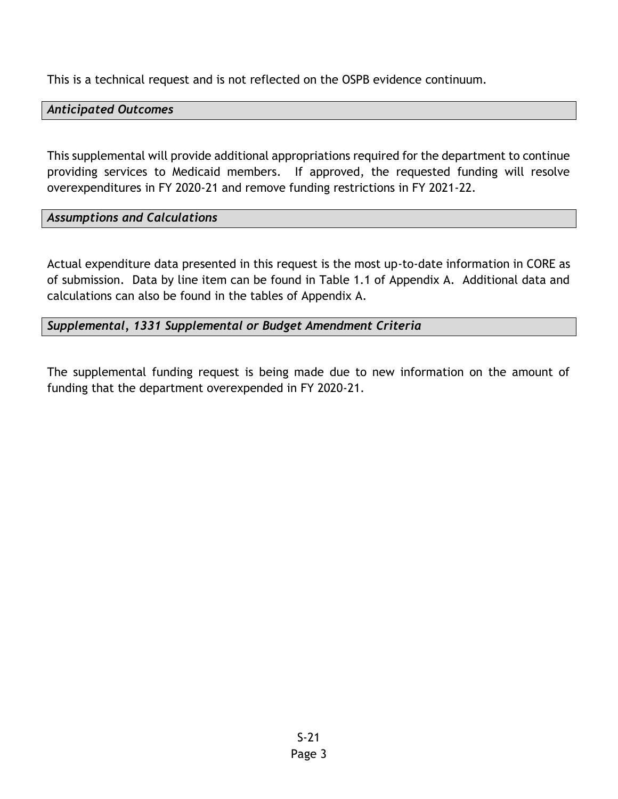This is a technical request and is not reflected on the OSPB evidence continuum.

## *Anticipated Outcomes*

This supplemental will provide additional appropriations required for the department to continue providing services to Medicaid members. If approved, the requested funding will resolve overexpenditures in FY 2020-21 and remove funding restrictions in FY 2021-22.

# *Assumptions and Calculations*

Actual expenditure data presented in this request is the most up-to-date information in CORE as of submission. Data by line item can be found in Table 1.1 of Appendix A. Additional data and calculations can also be found in the tables of Appendix A.

## *Supplemental, 1331 Supplemental or Budget Amendment Criteria*

The supplemental funding request is being made due to new information on the amount of funding that the department overexpended in FY 2020-21.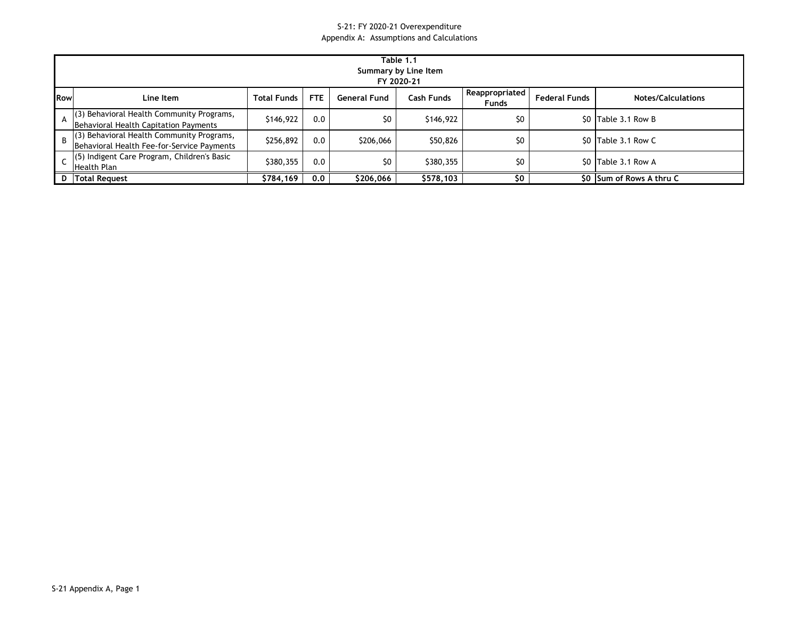#### S-21: FY 2020-21 Overexpenditure Appendix A: Assumptions and Calculations

|                | Table 1.1<br>Summary by Line Item<br>FY 2020-21                                         |                    |      |                     |            |                                |                      |                           |  |  |  |
|----------------|-----------------------------------------------------------------------------------------|--------------------|------|---------------------|------------|--------------------------------|----------------------|---------------------------|--|--|--|
| <b>IRow</b>    | Line Item                                                                               | <b>Total Funds</b> | FTE. | <b>General Fund</b> | Cash Funds | Reappropriated<br><b>Funds</b> | <b>Federal Funds</b> | <b>Notes/Calculations</b> |  |  |  |
| A              | (3) Behavioral Health Community Programs,<br>Behavioral Health Capitation Payments      | \$146,922          | 0.0  | \$0                 | \$146,922  | \$0                            |                      | \$0 Table 3.1 Row B       |  |  |  |
| $\overline{B}$ | (3) Behavioral Health Community Programs,<br>Behavioral Health Fee-for-Service Payments | \$256,892          | 0.0  | \$206,066           | \$50,826   | \$0                            |                      | \$0 Table 3.1 Row C       |  |  |  |
|                | (5) Indigent Care Program, Children's Basic<br>Health Plan                              | \$380,355          | 0.0  | \$0                 | \$380,355  | \$0                            |                      | \$0 Table 3.1 Row A       |  |  |  |
|                | D   Total Request                                                                       | \$784,169          | 0.0  | \$206,066           | \$578,103  | \$0                            | SO.                  | Sum of Rows A thru C      |  |  |  |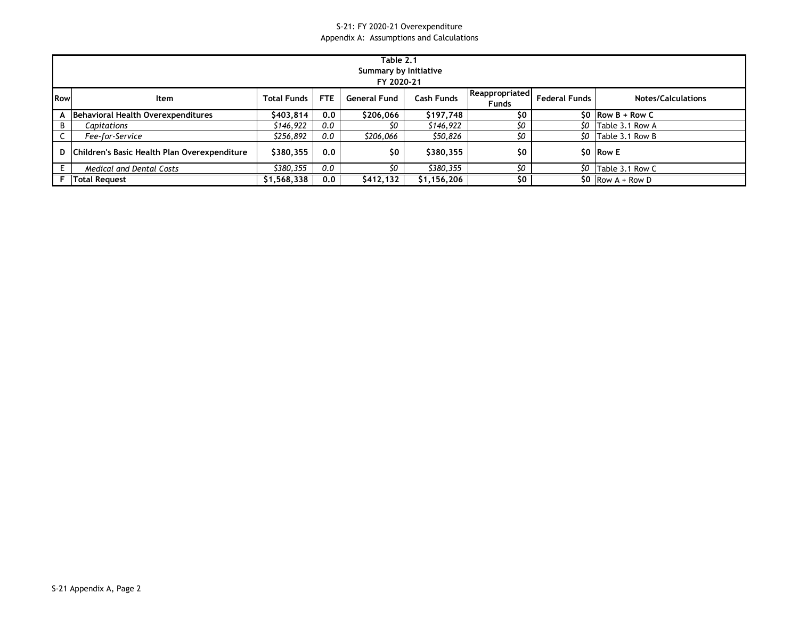#### S-21: FY 2020-21 Overexpenditure Appendix A: Assumptions and Calculations

|            | Table 2.1<br>Summary by Initiative<br>FY 2020-21 |                    |      |                     |                   |                                |                      |                           |  |  |  |
|------------|--------------------------------------------------|--------------------|------|---------------------|-------------------|--------------------------------|----------------------|---------------------------|--|--|--|
| <b>Row</b> | ltem                                             | <b>Total Funds</b> | FTE. | <b>General Fund</b> | <b>Cash Funds</b> | Reappropriated<br><b>Funds</b> | <b>Federal Funds</b> | <b>Notes/Calculations</b> |  |  |  |
|            | Behavioral Health Overexpenditures               | \$403,814          | 0.0  | \$206,066           | \$197,748         | \$0                            |                      | $$0$ Row B + Row C        |  |  |  |
| B          | Capitations                                      | \$146,922          | 0.0  | SO.                 | \$146,922         | \$0                            | \$0                  | Table 3.1 Row A           |  |  |  |
|            | Fee-for-Service                                  | \$256,892          | 0.0  | \$206,066           | \$50,826          | \$O                            | \$O.                 | Table 3.1 Row B           |  |  |  |
|            | D   Children's Basic Health Plan Overexpenditure | \$380,355          | 0.0  | \$0                 | \$380,355         | \$0                            |                      | SO Row E                  |  |  |  |
|            | <b>Medical and Dental Costs</b>                  | \$380.355          | 0.0  | \$O                 | \$380.355         | \$0                            | \$O                  | Table 3.1 Row C           |  |  |  |
|            | <b>Total Request</b>                             | \$1,568,338        | 0.0  | \$412,132           | \$1,156,206       | \$0                            |                      | $SO$ Row A + Row D        |  |  |  |